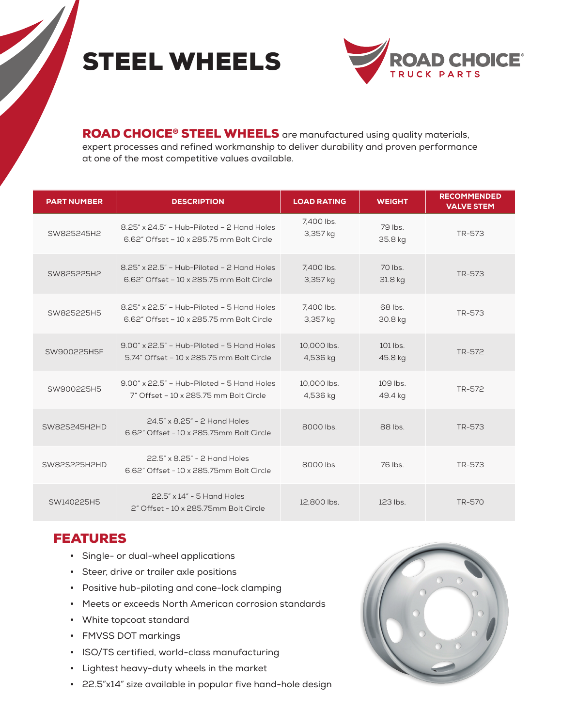# STEEL WHEELS



ROAD CHOICE<sup>®</sup> STEEL WHEELS are manufactured using quality materials, expert processes and refined workmanship to deliver durability and proven performance at one of the most competitive values available.

| <b>PART NUMBER</b> | <b>DESCRIPTION</b>                                                                         | <b>LOAD RATING</b>      | <b>WEIGHT</b>       | <b>RECOMMENDED</b><br><b>VALVE STEM</b> |
|--------------------|--------------------------------------------------------------------------------------------|-------------------------|---------------------|-----------------------------------------|
| SW825245H2         | 8.25" x 24.5" - Hub-Piloted - 2 Hand Holes<br>6.62" Offset - 10 x 285.75 mm Bolt Circle    | 7,400 lbs.<br>3,357 kg  | 79 lbs.<br>35.8 kg  | TR-573                                  |
| SW825225H2         | 8.25" x 22.5" - Hub-Piloted - 2 Hand Holes<br>6.62" Offset - 10 x 285.75 mm Bolt Circle    | 7.400 lbs.<br>3,357 kg  | 70 lbs.<br>31.8 kg  | TR-573                                  |
| SW825225H5         | 8.25" x 22.5" - Hub-Piloted - 5 Hand Holes<br>6.62" Offset - 10 x 285.75 mm Bolt Circle    | 7.400 lbs.<br>3,357 kg  | 68 lbs.<br>30.8 kg  | TR-573                                  |
| SW900225H5F        | $9.00$ " x 22.5" - Hub-Piloted - 5 Hand Holes<br>5.74" Offset - 10 x 285.75 mm Bolt Circle | 10,000 lbs.<br>4,536 kg | 101 lbs.<br>45.8 kg | TR-572                                  |
| SW900225H5         | $9.00$ " x 22.5" - Hub-Piloted - 5 Hand Holes<br>7" Offset - 10 x 285.75 mm Bolt Circle    | 10.000 lbs.<br>4,536 kg | 109 lbs.<br>49.4 kg | TR-572                                  |
| SW82S245H2HD       | 24.5" x 8.25" - 2 Hand Holes<br>6.62" Offset - 10 x 285.75mm Bolt Circle                   | 8000 lbs.               | 88 lbs              | TR-573                                  |
| SW82S225H2HD       | 22.5" x 8.25" - 2 Hand Holes<br>6.62" Offset - 10 x 285.75mm Bolt Circle                   | 8000 lbs.               | 76 lbs.             | TR-573                                  |
| SW140225H5         | 22.5" x 14" - 5 Hand Holes<br>2" Offset - 10 x 285.75mm Bolt Circle                        | 12,800 lbs.             | 123 lbs.            | TR-570                                  |

#### FEATURES

- Single- or dual-wheel applications
- Steer, drive or trailer axle positions
- Positive hub-piloting and cone-lock clamping
- Meets or exceeds North American corrosion standards
- White topcoat standard
- FMVSS DOT markings
- ISO/TS certified, world-class manufacturing
- Lightest heavy-duty wheels in the market
- 22.5"x14" size available in popular five hand-hole design